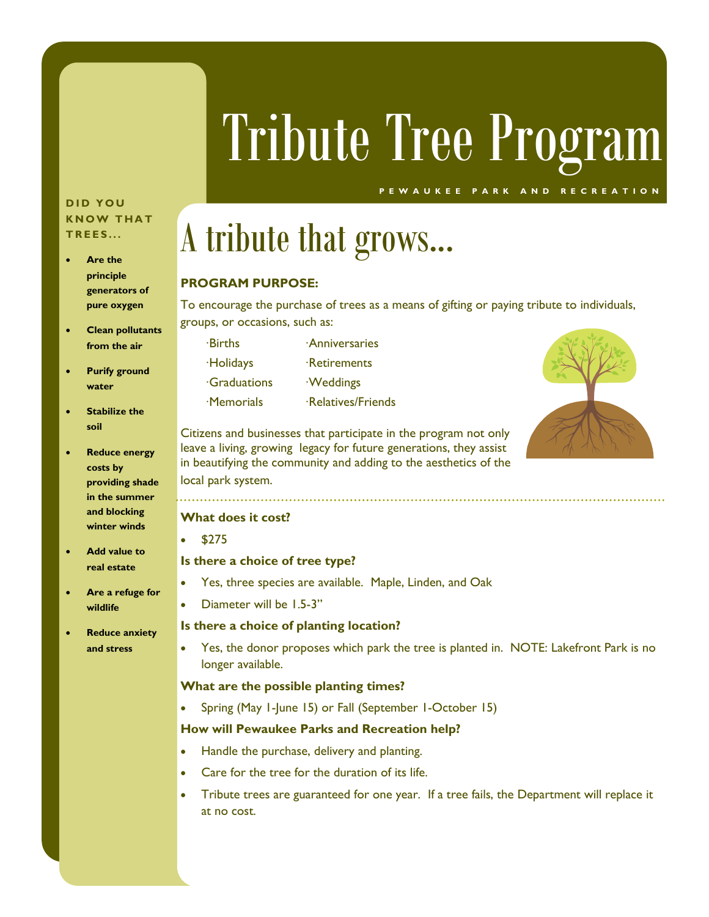# Tribute Tree Program

**P E W A U K E E P A R K A N D R E C R E A T I O N**

#### **D I D Y O U KNOW THAT T R E E S . . .**

- **Are the principle generators of pure oxygen**
- **Clean pollutants from the air**
- **Purify ground water**
- **Stabilize the soil**
- **Reduce energy costs by providing shade in the summer and blocking winter winds**
- **Add value to real estate**
- **Are a refuge for wildlife**
- **Reduce anxiety and stress**

## A tribute that grows...

#### **PROGRAM PURPOSE:**

To encourage the purchase of trees as a means of gifting or paying tribute to individuals, groups, or occasions, such as:

 ∙Births ∙Anniversaries ∙Holidays ∙Retirements ∙Graduations ∙Weddings ∙Memorials ∙Relatives/Friends



Citizens and businesses that participate in the program not only leave a living, growing legacy for future generations, they assist in beautifying the community and adding to the aesthetics of the local park system.

#### **What does it cost?**

• \$275

#### **Is there a choice of tree type?**

- Yes, three species are available. Maple, Linden, and Oak
- Diameter will be 1.5-3"

#### **Is there a choice of planting location?**

• Yes, the donor proposes which park the tree is planted in. NOTE: Lakefront Park is no longer available.

#### **What are the possible planting times?**

• Spring (May 1-June 15) or Fall (September 1-October 15)

#### **How will Pewaukee Parks and Recreation help?**

- Handle the purchase, delivery and planting.
- Care for the tree for the duration of its life.
- Tribute trees are guaranteed for one year. If a tree fails, the Department will replace it at no cost.